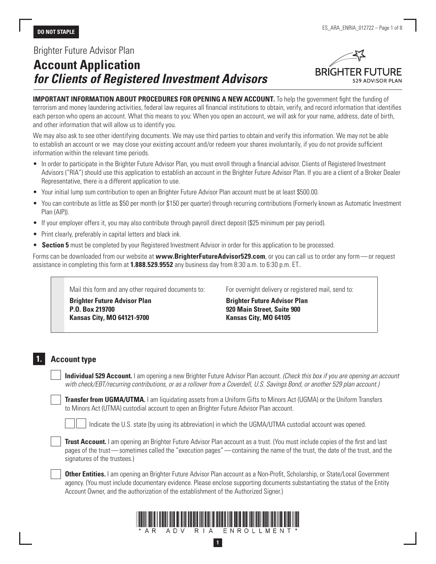# Brighter Future Advisor Plan

# **Account Application**  *for Clients of Registered Investment Advisors*



**IMPORTANT INFORMATION ABOUT PROCEDURES FOR OPENING A NEW ACCOUNT.** To help the government fight the funding of terrorism and money laundering activities, federal law requires all financial institutions to obtain, verify, and record information that identifies each person who opens an account. What this means to you: When you open an account, we will ask for your name, address, date of birth, and other information that will allow us to identify you.

We may also ask to see other identifying documents. We may use third parties to obtain and verify this information. We may not be able to establish an account or we may close your existing account and/or redeem your shares involuntarily, if you do not provide sufficient information within the relevant time periods.

- In order to participate in the Brighter Future Advisor Plan, you must enroll through a financial advisor. Clients of Registered Investment Advisors ("RIA") should use this application to establish an account in the Brighter Future Advisor Plan. If you are a client of a Broker Dealer Representative, there is a different application to use.
- Your initial lump sum contribution to open an Brighter Future Advisor Plan account must be at least \$500.00.
- You can contribute as little as \$50 per month (or \$150 per quarter) through recurring contributions (Formerly known as Automatic Investment Plan (AIP)).
- If your employer offers it, you may also contribute through payroll direct deposit (\$25 minimum per pay period).
- Print clearly, preferably in capital letters and black ink.
- **Section 5** must be completed by your Registered Investment Advisor in order for this application to be processed.

Forms can be downloaded from our website at **www.BrighterFutureAdvisor529.com**, or you can call us to order any form—or request assistance in completing this form at **1.888.529.9552** any business day from 8:30 a.m. to 6:30 p.m. ET..

Mail this form and any other required documents to:

**Brighter Future Advisor Plan P.O. Box 219700 Kansas City, MO 64121-9700**

For overnight delivery or registered mail, send to:

**Brighter Future Advisor Plan 920 Main Street, Suite 900 Kansas City, MO 64105**

# **1. Account type**

**Individual 529 Account.** I am opening a new Brighter Future Advisor Plan account. *(Check this box if you are opening an account with check/EBT/recurring contributions, or as a rollover from a Coverdell, U.S. Savings Bond, or another 529 plan account.)*

 **Transfer from UGMA/UTMA.** I am liquidating assets from a Uniform Gifts to Minors Act (UGMA) or the Uniform Transfers to Minors Act (UTMA) custodial account to open an Brighter Future Advisor Plan account.

Indicate the U.S. state (by using its abbreviation) in which the UGMA/UTMA custodial account was opened.

**Trust Account.** I am opening an Brighter Future Advisor Plan account as a trust. (You must include copies of the first and last pages of the trust—sometimes called the "execution pages"—containing the name of the trust, the date of the trust, and the signatures of the trustees.)

 **Other Entities.** I am opening an Brighter Future Advisor Plan account as a Non-Profit, Scholarship, or State/Local Government agency. (You must include documentary evidence. Please enclose supporting documents substantiating the status of the Entity Account Owner, and the authorization of the establishment of the Authorized Signer.)



**1**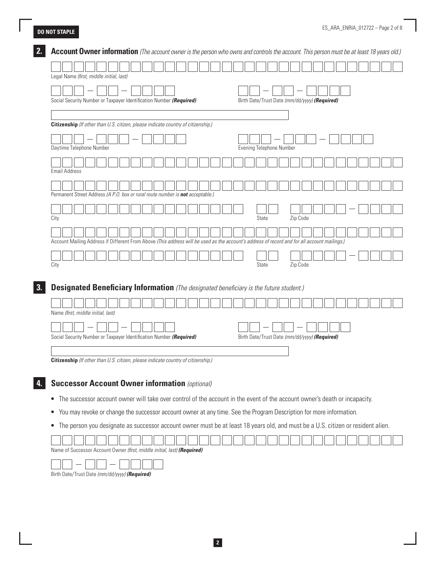I

| Legal Name (first, middle initial, last)                                                                                                     |  |  |  |  |  |  |  |  |  |                          |  |  |          |                                               |  |  |  |  |
|----------------------------------------------------------------------------------------------------------------------------------------------|--|--|--|--|--|--|--|--|--|--------------------------|--|--|----------|-----------------------------------------------|--|--|--|--|
|                                                                                                                                              |  |  |  |  |  |  |  |  |  |                          |  |  |          |                                               |  |  |  |  |
| Social Security Number or Taxpayer Identification Number (Required)                                                                          |  |  |  |  |  |  |  |  |  |                          |  |  |          | Birth Date/Trust Date (mm/dd/yyyy) (Required) |  |  |  |  |
|                                                                                                                                              |  |  |  |  |  |  |  |  |  |                          |  |  |          |                                               |  |  |  |  |
| Citizenship (If other than U.S. citizen, please indicate country of citizenship.)                                                            |  |  |  |  |  |  |  |  |  |                          |  |  |          |                                               |  |  |  |  |
|                                                                                                                                              |  |  |  |  |  |  |  |  |  |                          |  |  |          |                                               |  |  |  |  |
| Daytime Telephone Number                                                                                                                     |  |  |  |  |  |  |  |  |  | Evening Telephone Number |  |  |          |                                               |  |  |  |  |
|                                                                                                                                              |  |  |  |  |  |  |  |  |  |                          |  |  |          |                                               |  |  |  |  |
|                                                                                                                                              |  |  |  |  |  |  |  |  |  |                          |  |  |          |                                               |  |  |  |  |
| <b>Email Address</b>                                                                                                                         |  |  |  |  |  |  |  |  |  |                          |  |  |          |                                               |  |  |  |  |
|                                                                                                                                              |  |  |  |  |  |  |  |  |  |                          |  |  |          |                                               |  |  |  |  |
| Permanent Street Address (A P.O. box or rural route number is not acceptable.)                                                               |  |  |  |  |  |  |  |  |  |                          |  |  |          |                                               |  |  |  |  |
|                                                                                                                                              |  |  |  |  |  |  |  |  |  |                          |  |  |          |                                               |  |  |  |  |
| City                                                                                                                                         |  |  |  |  |  |  |  |  |  | <b>State</b>             |  |  | Zip Code |                                               |  |  |  |  |
|                                                                                                                                              |  |  |  |  |  |  |  |  |  |                          |  |  |          |                                               |  |  |  |  |
| Account Mailing Address if Different From Above (This address will be used as the account's address of record and for all account mailings.) |  |  |  |  |  |  |  |  |  |                          |  |  |          |                                               |  |  |  |  |
|                                                                                                                                              |  |  |  |  |  |  |  |  |  |                          |  |  |          |                                               |  |  |  |  |
| City                                                                                                                                         |  |  |  |  |  |  |  |  |  | <b>State</b>             |  |  | Zip Code |                                               |  |  |  |  |
|                                                                                                                                              |  |  |  |  |  |  |  |  |  |                          |  |  |          |                                               |  |  |  |  |
| <b>Designated Beneficiary Information</b> (The designated beneficiary is the future student.)                                                |  |  |  |  |  |  |  |  |  |                          |  |  |          |                                               |  |  |  |  |
|                                                                                                                                              |  |  |  |  |  |  |  |  |  |                          |  |  |          |                                               |  |  |  |  |
| Name (first, middle initial, last)                                                                                                           |  |  |  |  |  |  |  |  |  |                          |  |  |          |                                               |  |  |  |  |
|                                                                                                                                              |  |  |  |  |  |  |  |  |  |                          |  |  |          |                                               |  |  |  |  |
| Social Security Number or Taxpayer Identification Number (Required)                                                                          |  |  |  |  |  |  |  |  |  |                          |  |  |          | Birth Date/Trust Date (mm/dd/yyyy) (Required) |  |  |  |  |
|                                                                                                                                              |  |  |  |  |  |  |  |  |  |                          |  |  |          |                                               |  |  |  |  |
| Citizenship (If other than U.S. citizen, please indicate country of citizenship.)                                                            |  |  |  |  |  |  |  |  |  |                          |  |  |          |                                               |  |  |  |  |
|                                                                                                                                              |  |  |  |  |  |  |  |  |  |                          |  |  |          |                                               |  |  |  |  |
|                                                                                                                                              |  |  |  |  |  |  |  |  |  |                          |  |  |          |                                               |  |  |  |  |
|                                                                                                                                              |  |  |  |  |  |  |  |  |  |                          |  |  |          |                                               |  |  |  |  |
| <b>Successor Account Owner information (optional)</b>                                                                                        |  |  |  |  |  |  |  |  |  |                          |  |  |          |                                               |  |  |  |  |
| The successor account owner will take over control of the account in the event of the account owner's death or incapacity.<br>$\bullet$      |  |  |  |  |  |  |  |  |  |                          |  |  |          |                                               |  |  |  |  |

Name of Successor Account Owner *(first, middle initial, last) (Required)*



Birth Date/Trust Date *(mm/dd/yyyy)* **(Required)**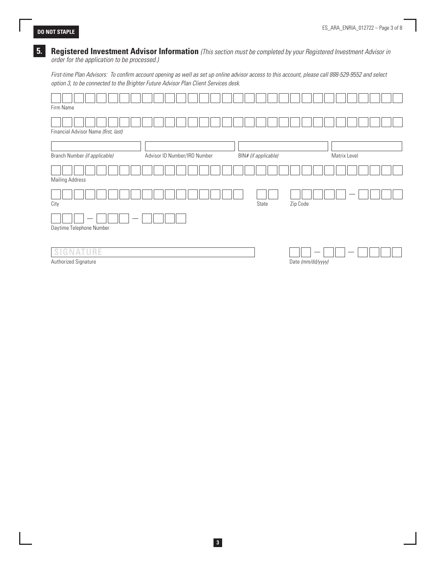### **5. Registered Investment Advisor Information** *(This section must be completed by your Registered Investment Advisor in order for the application to be processed.)*

*First-time Plan Advisors: To confirm account opening as well as set up online advisor access to this account, please call 888-529-9552 and select option 3, to be connected to the Brighter Future Advisor Plan Client Services desk.*

| Firm Name                            |                              |                      |                   |
|--------------------------------------|------------------------------|----------------------|-------------------|
| Financial Advisor Name (first, last) |                              |                      |                   |
| Branch Number (if applicable)        | Advisor ID Number/IRD Number | BIN# (if applicable) | Matrix Level      |
| <b>Mailing Address</b>               |                              |                      |                   |
| City                                 |                              | State                | Zip Code          |
| Daytime Telephone Number             |                              |                      |                   |
| G<br>ATURE<br>N<br>S                 |                              |                      |                   |
| Authorized Signature                 |                              |                      | Date (mm/dd/yyyy) |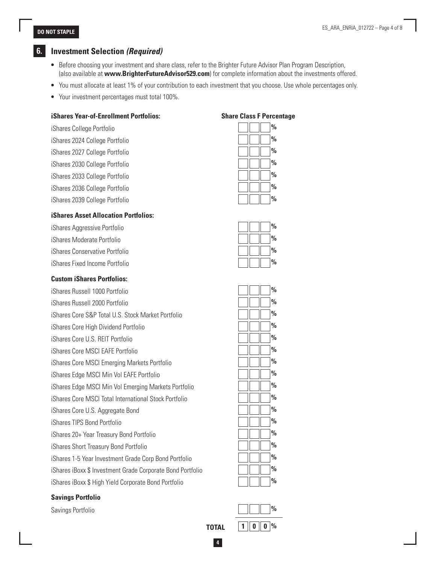# **6. Investment Selection** *(Required)*

- Before choosing your investment and share class, refer to the Brighter Future Advisor Plan Program Description, (also available at **www.BrighterFutureAdvisor529.com**) for complete information about the investments offered.
- You must allocate at least 1% of your contribution to each investment that you choose. Use whole percentages only.
- Your investment percentages must total 100%.

| <b>iShares Year-of-Enrollment Portfolios:</b> | <b>Share Class F Perce</b> |
|-----------------------------------------------|----------------------------|
| iShares College Portfolio                     | $\frac{0}{0}$              |
| iShares 2024 College Portfolio                | $\frac{0}{0}$              |
| iShares 2027 College Portfolio                | $\frac{0}{0}$              |
| iShares 2030 College Portfolio                | $\frac{0}{0}$              |
| iShares 2033 College Portfolio                | $\frac{0}{0}$              |
| iShares 2036 College Portfolio                | $\frac{0}{0}$              |
| iShares 2039 College Portfolio                | $\frac{0}{0}$              |
| <b>iShares Asset Allocation Portfolios:</b>   |                            |
| <i>iShares Aggressive Portfolio</i>           | $\frac{0}{0}$              |
|                                               |                            |

| nonaroo nggrooon o romono      |                                                                                                                                                                                                                                                   |
|--------------------------------|---------------------------------------------------------------------------------------------------------------------------------------------------------------------------------------------------------------------------------------------------|
| iShares Moderate Portfolio     | $\begin{array}{ c c c c c c } \hline \end{array}$ $\begin{array}{ c c c c c } \hline \end{array}$ $\begin{array}{ c c c c c } \hline \end{array}$ $\begin{array}{ c c c c c } \hline \end{array}$ $\begin{array}{ c c c c c } \hline \end{array}$ |
| iShares Conservative Portfolio | $\begin{array}{ c c c c c c } \hline \end{array}$ $\begin{array}{ c c c c c } \hline \end{array}$ $\begin{array}{ c c c c c } \hline \end{array}$ $\begin{array}{ c c c c c } \hline \end{array}$ $\begin{array}{ c c c c c } \hline \end{array}$ |
| iShares Fixed Income Portfolio | $\begin{array}{ c c c c c c c c } \hline \end{array}$ $\begin{array}{ c c c c c c c c c } \hline \end{array}$ $\begin{array}{ c c c c c c } \hline \end{array}$                                                                                   |

**Custom iShares Portfolios:** 

**iF Percentage** 

|                                                            | $\frac{0}{0}$ |
|------------------------------------------------------------|---------------|
| iShares Russell 1000 Portfolio                             |               |
| iShares Russell 2000 Portfolio                             | $\frac{0}{0}$ |
| iShares Core S&P Total U.S. Stock Market Portfolio         | $\frac{0}{0}$ |
| iShares Core High Dividend Portfolio                       | $\frac{0}{0}$ |
| iShares Core U.S. REIT Portfolio                           | %             |
| iShares Core MSCI EAFE Portfolio                           | $\frac{0}{0}$ |
| iShares Core MSCI Emerging Markets Portfolio               | $\frac{0}{0}$ |
| iShares Edge MSCI Min Vol EAFE Portfolio                   | %             |
| iShares Edge MSCI Min Vol Emerging Markets Portfolio       | $\frac{0}{0}$ |
| iShares Core MSCI Total International Stock Portfolio      | $\frac{0}{0}$ |
| iShares Core U.S. Aggregate Bond                           | $\frac{0}{0}$ |
| iShares TIPS Bond Portfolio                                | %             |
| iShares 20+ Year Treasury Bond Portfolio                   | $\%$          |
| iShares Short Treasury Bond Portfolio                      | $\frac{0}{0}$ |
| iShares 1-5 Year Investment Grade Corp Bond Portfolio      | $\frac{0}{0}$ |
| iShares iBoxx \$ Investment Grade Corporate Bond Portfolio | $\frac{0}{0}$ |
| iShares iBoxx \$ High Yield Corporate Bond Portfolio       | $\frac{0}{0}$ |
|                                                            |               |

### **Savings Portfolio**

Savings Portfolio **%**

|  | $\%$          |
|--|---------------|
|  | $\frac{0}{0}$ |
|  | ۰             |

# **4 TOTAL**  $\| 1 \| 0 \| 0 \%$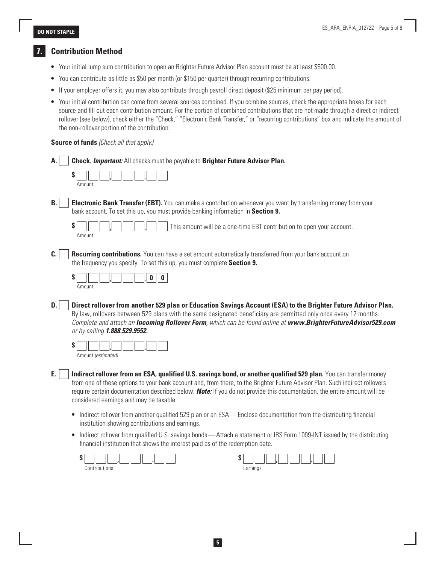# **7. Contribution Method**

- Your initial lump sum contribution to open an Brighter Future Advisor Plan account must be at least \$500.00.
- You can contribute as little as \$50 per month (or \$150 per quarter) through recurring contributions.
- If your employer offers it, you may also contribute through payroll direct deposit (\$25 minimum per pay period).
- Your initial contribution can come from several sources combined. If you combine sources, check the appropriate boxes for each source and fill out each contribution amount. For the portion of combined contributions that are not made through a direct or indirect rollover (see below), check either the "Check," "Electronic Bank Transfer," or "recurring contributions" box and indicate the amount of the non-rollover portion of the contribution.

### **Source of funds** *(Check all that apply.)*

| А.        | <b>Check. Important:</b> All checks must be payable to Brighter Future Advisor Plan.                                                                                                                                                                                                                                                                                                                                            |
|-----------|---------------------------------------------------------------------------------------------------------------------------------------------------------------------------------------------------------------------------------------------------------------------------------------------------------------------------------------------------------------------------------------------------------------------------------|
|           | S<br>Amount                                                                                                                                                                                                                                                                                                                                                                                                                     |
| <b>B.</b> | <b>Electronic Bank Transfer (EBT).</b> You can make a contribution whenever you want by transferring money from your<br>bank account. To set this up, you must provide banking information in Section 9.                                                                                                                                                                                                                        |
|           | S<br>This amount will be a one-time EBT contribution to open your account.<br>Amount                                                                                                                                                                                                                                                                                                                                            |
| C.        | Recurring contributions. You can have a set amount automatically transferred from your bank account on<br>the frequency you specify. To set this up, you must complete Section 9.                                                                                                                                                                                                                                               |
|           | S<br>0<br>Amount                                                                                                                                                                                                                                                                                                                                                                                                                |
| D.        | Direct rollover from another 529 plan or Education Savings Account (ESA) to the Brighter Future Advisor Plan.<br>By law, rollovers between 529 plans with the same designated beneficiary are permitted only once every 12 months.<br>Complete and attach an <b>Incoming Rollover Form</b> , which can be found online at www.BrighterFutureAdvisor529.com<br>or by calling 1.888.529.9552.                                     |
|           | S<br>Amount (estimated)                                                                                                                                                                                                                                                                                                                                                                                                         |
| Е.        | Indirect rollover from an ESA, qualified U.S. savings bond, or another qualified 529 plan. You can transfer money<br>from one of these options to your bank account and, from there, to the Brighter Future Advisor Plan. Such indirect rollovers<br>require certain documentation described below. <b>Note:</b> If you do not provide this documentation, the entire amount will be<br>considered earnings and may be taxable. |
|           | • Indirect rollover from another qualified 529 plan or an ESA—Enclose documentation from the distributing financial<br>institution showing contributions and earnings.                                                                                                                                                                                                                                                          |

• Indirect rollover from qualified U.S. savings bonds—Attach a statement or IRS Form 1099-INT issued by the distributing financial institution that shows the interest paid as of the redemption date.

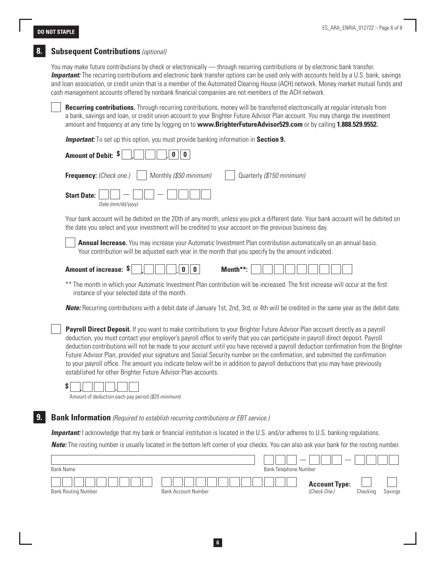## **8. Subsequent Contributions** *(optional)*

You may make future contributions by check or electronically — through recurring contributions or by electronic bank transfer. **Important:** The recurring contributions and electronic bank transfer options can be used only with accounts held by a U.S. bank, savings and loan association, or credit union that is a member of the Automated Clearing House (ACH) network. Money market mutual funds and cash management accounts offered by nonbank financial companies are not members of the ACH network.

**Recurring contributions.** Through recurring contributions, money will be transferred electronically at regular intervals from a bank, savings and loan, or credit union account to your Brighter Future Advisor Plan account. You may change the investment amount and frequency at any time by logging on to **www.BrighterFutureAdvisor529.com** or by calling **1.888.529.9552.**

**Important:** To set up this option, you must provide banking information in Section 9.

| Amount of Debit: \$<br>0                                                                                                                                                                                                                                                                                                                                                                                                                                                                                                                                                                                                                                                                                                               |  |  |  |  |
|----------------------------------------------------------------------------------------------------------------------------------------------------------------------------------------------------------------------------------------------------------------------------------------------------------------------------------------------------------------------------------------------------------------------------------------------------------------------------------------------------------------------------------------------------------------------------------------------------------------------------------------------------------------------------------------------------------------------------------------|--|--|--|--|
| Frequency: (Check one.)<br>Monthly (\$50 minimum)<br>Quarterly (\$150 minimum)                                                                                                                                                                                                                                                                                                                                                                                                                                                                                                                                                                                                                                                         |  |  |  |  |
| <b>Start Date:</b><br>Date (mm/dd/vvvv)                                                                                                                                                                                                                                                                                                                                                                                                                                                                                                                                                                                                                                                                                                |  |  |  |  |
| Your bank account will be debited on the 20th of any month, unless you pick a different date. Your bank account will be debited on<br>the date you select and your investment will be credited to your account on the previous business day.                                                                                                                                                                                                                                                                                                                                                                                                                                                                                           |  |  |  |  |
| Annual Increase. You may increase your Automatic Investment Plan contribution automatically on an annual basis.<br>Your contribution will be adjusted each year in the month that you specify by the amount indicated.                                                                                                                                                                                                                                                                                                                                                                                                                                                                                                                 |  |  |  |  |
| Amount of increase: \$<br>Month**:<br>0                                                                                                                                                                                                                                                                                                                                                                                                                                                                                                                                                                                                                                                                                                |  |  |  |  |
| ** The month in which your Automatic Investment Plan contribution will be increased. The first increase will occur at the first<br>instance of your selected date of the month.                                                                                                                                                                                                                                                                                                                                                                                                                                                                                                                                                        |  |  |  |  |
| <b>Note:</b> Recurring contributions with a debit date of January 1st, 2nd, 3rd, or 4th will be credited in the same year as the debit date.                                                                                                                                                                                                                                                                                                                                                                                                                                                                                                                                                                                           |  |  |  |  |
| Payroll Direct Deposit. If you want to make contributions to your Brighter Future Advisor Plan account directly as a payroll<br>deduction, you must contact your employer's payroll office to verify that you can participate in payroll direct deposit. Payroll<br>deduction contributions will not be made to your account until you have received a payroll deduction confirmation from the Brighter<br>Future Advisor Plan, provided your signature and Social Security number on the confirmation, and submitted the confirmation<br>to your payroll office. The amount you indicate below will be in addition to payroll deductions that you may have previously<br>established for other Brighter Future Advisor Plan accounts. |  |  |  |  |

**\$ , .**

Amount of deduction each pay period *(\$25 minimum)*

# **9. Bank Information** *(Required to establish recurring contributions or EBT service.)*

**Important:** I acknowledge that my bank or financial institution is located in the U.S. and/or adheres to U.S. banking regulations.

**Note:** The routing number is usually located in the bottom left corner of your checks. You can also ask your bank for the routing number.

|                            |                            | $\overline{\phantom{a}}$ | $\overline{\phantom{a}}$ |          |         |
|----------------------------|----------------------------|--------------------------|--------------------------|----------|---------|
| Bank Name                  |                            | Bank Telephone Number    |                          |          |         |
|                            |                            |                          | <b>Account Type:</b>     |          |         |
| <b>Bank Routing Number</b> | <b>Bank Account Number</b> |                          | (Check One.)             | Checking | Savings |

**6**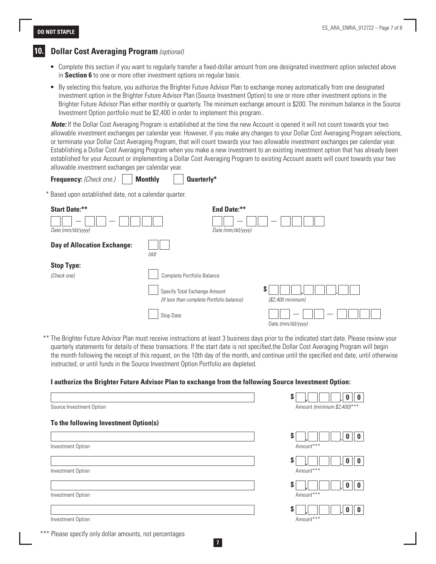## **10. Dollar Cost Averaging Program** *(optional)*

- Complete this section if you want to regularly transfer a fixed-dollar amount from one designated investment option selected above in **Section 6** to one or more other investment options on regular basis.
- By selecting this feature, you authorize the Brighter Future Advisor Plan to exchange money automatically from one designated investment option in the Brighter Future Advisor Plan (Source Investment Option) to one or more other investment options in the Brighter Future Advisor Plan either monthly or quarterly. The minimum exchange amount is \$200. The minimum balance in the Source Investment Option portfolio must be \$2,400 in order to implement this program..

*Note:* If the Dollar Cost Averaging Program is established at the time the new Account is opened it will not count towards your two allowable investment exchanges per calendar year. However, if you make any changes to your Dollar Cost Averaging Program selections, or terminate your Dollar Cost Averaging Program, that will count towards your two allowable investment exchanges per calendar year. Establishing a Dollar Cost Averaging Program when you make a new investment to an existing investment option that has already been established for your Account or implementing a Dollar Cost Averaging Program to existing Account assets will count towards your two allowable investment exchanges per calendar year.

**Frequency:** *(Check one.)* **Monthly****Quarterly\***

\* Based upon established date, not a calendar quarter.



\*\* The Brighter Future Advisor Plan must receive instructions at least 3 business days prior to the indicated start date. Please review your quarterly statements for details of these transactions. If the start date is not specified,the Dollar Cost Averaging Program will begin the month following the receipt of this request, on the 10th day of the month, and continue until the specified end date, until otherwise instructed, or until funds in the Source Investment Option Portfolio are depleted.

### **I authorize the Brighter Future Advisor Plan to exchange from the following Source Investment Option:**

|                                       | S                           |
|---------------------------------------|-----------------------------|
| Source Investment Option              | Amount (minimum \$2,400)*** |
| To the following Investment Option(s) |                             |
| Investment Option                     | S<br>Amount***              |
|                                       | S                           |
| Investment Option                     | Amount***                   |
| Investment Option                     | S<br>Amount***              |
|                                       | S                           |
| Investment Option                     | Amount***                   |

Please specify only dollar amounts, not percentages